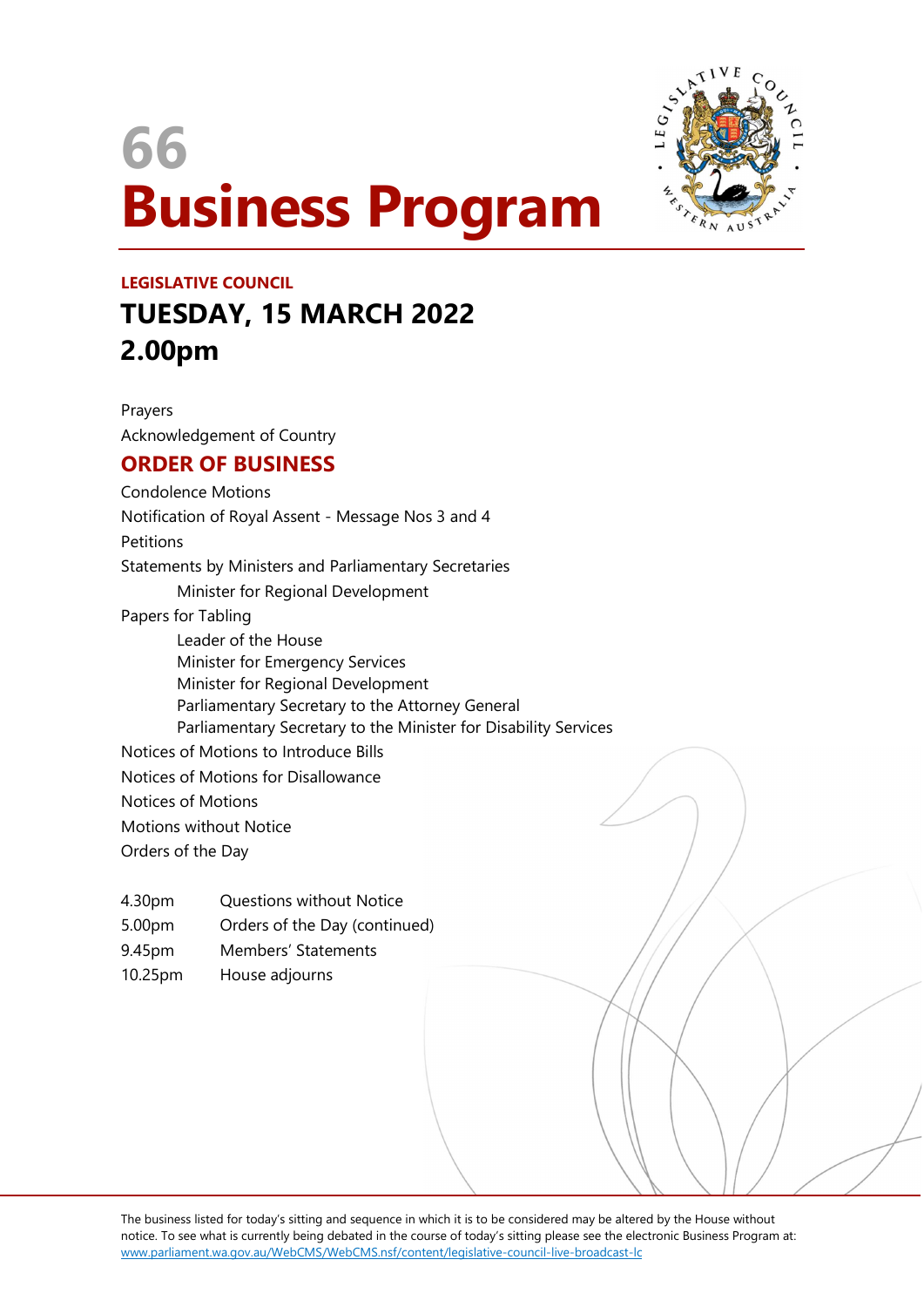# 66 Business Program



## LEGISLATIVE COUNCIL TUESDAY, 15 MARCH 2022 2.00pm

Prayers Acknowledgement of Country

## ORDER OF BUSINESS

Condolence Motions Notification of Royal Assent - Message Nos 3 and 4 Petitions Statements by Ministers and Parliamentary Secretaries Minister for Regional Development Papers for Tabling Leader of the House Minister for Emergency Services Minister for Regional Development Parliamentary Secretary to the Attorney General Parliamentary Secretary to the Minister for Disability Services Notices of Motions to Introduce Bills Notices of Motions for Disallowance Notices of Motions Motions without Notice Orders of the Day

4.30pm Questions without Notice

5.00pm Orders of the Day (continued)

- 9.45pm Members' Statements
- 10.25pm House adjourns

The business listed for today's sitting and sequence in which it is to be considered may be altered by the House without notice. To see what is currently being debated in the course of today's sitting please see the electronic Business Program at: www.parliament.wa.gov.au/WebCMS/WebCMS.nsf/content/legislative-council-live-broadcast-lc